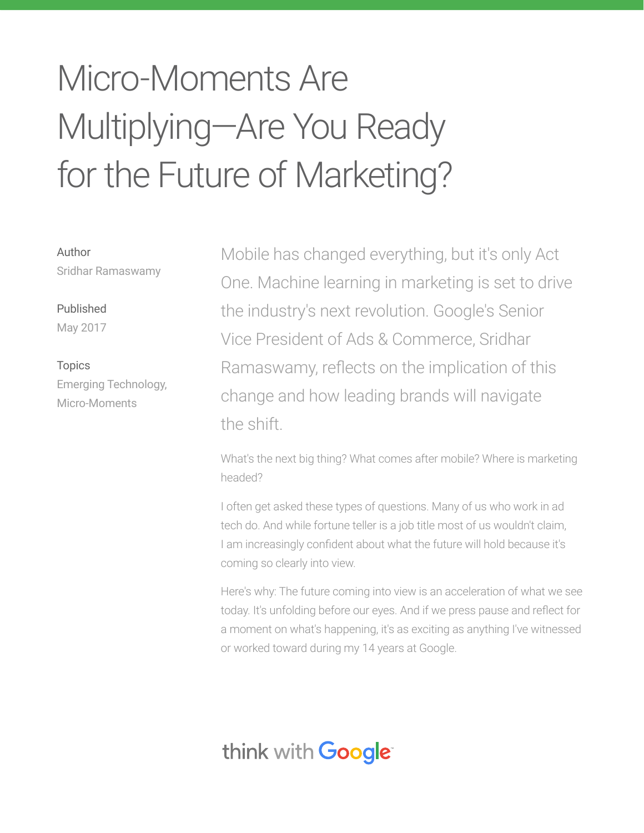## Micro-Moments Are Multiplying—Are You Ready for the Future of Marketing?

Author Sridhar Ramaswamy

Published May 2017

Topics Emerging Technology, Micro-Moments

Mobile has changed everything, but it's only Act One. Machine learning in marketing is set to drive the industry's next revolution. Google's Senior Vice President of Ads & Commerce, Sridhar Ramaswamy, reflects on the implication of this change and how leading brands will navigate the shift.

What's the next big thing? What comes after mobile? Where is marketing headed?

I often get asked these types of questions. Many of us who work in ad tech do. And while fortune teller is a job title most of us wouldn't claim, I am increasingly confident about what the future will hold because it's coming so clearly into view.

Here's why: The future coming into view is an acceleration of what we see today. It's unfolding before our eyes. And if we press pause and reflect for a moment on what's happening, it's as exciting as anything I've witnessed or worked toward during my 14 years at Google.

## think with **Google**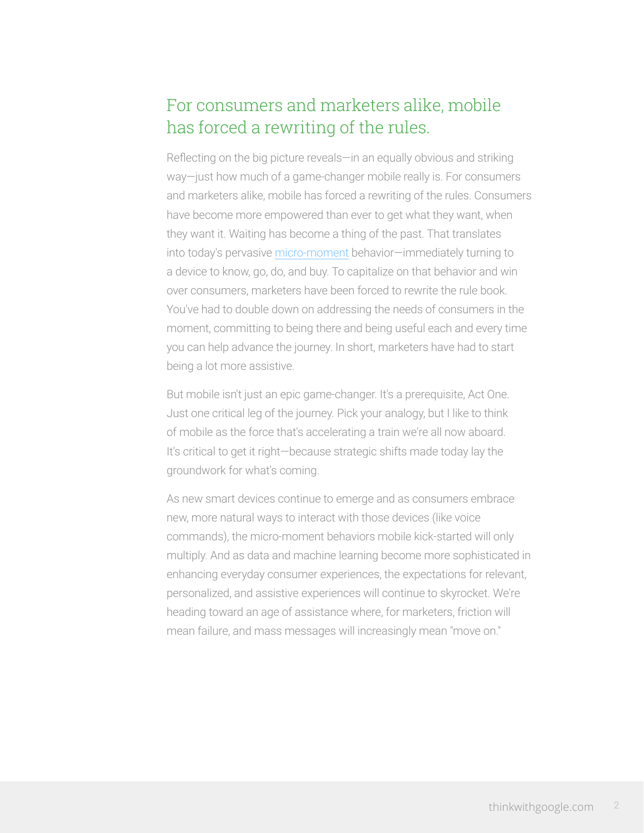## For consumers and marketers alike, mobile has forced a rewriting of the rules.

Reflecting on the big picture reveals—in an equally obvious and striking way—just how much of a game-changer mobile really is. For consumers and marketers alike, mobile has forced a rewriting of the rules. Consumers have become more empowered than ever to get what they want, when they want it. Waiting has become a thing of the past. That translates into today's pervasive [micro-moment](https://www.thinkwithgoogle.com/collections/micromoments.html) behavior—immediately turning to a device to know, go, do, and buy. To capitalize on that behavior and win over consumers, marketers have been forced to rewrite the rule book. You've had to double down on addressing the needs of consumers in the moment, committing to being there and being useful each and every time you can help advance the journey. In short, marketers have had to start being a lot more assistive.

But mobile isn't just an epic game-changer. It's a prerequisite, Act One. Just one critical leg of the journey. Pick your analogy, but I like to think of mobile as the force that's accelerating a train we're all now aboard. It's critical to get it right—because strategic shifts made today lay the groundwork for what's coming.

As new smart devices continue to emerge and as consumers embrace new, more natural ways to interact with those devices (like voice commands), the micro-moment behaviors mobile kick-started will only multiply. And as data and machine learning become more sophisticated in enhancing everyday consumer experiences, the expectations for relevant, personalized, and assistive experiences will continue to skyrocket. We're heading toward an age of assistance where, for marketers, friction will mean failure, and mass messages will increasingly mean "move on."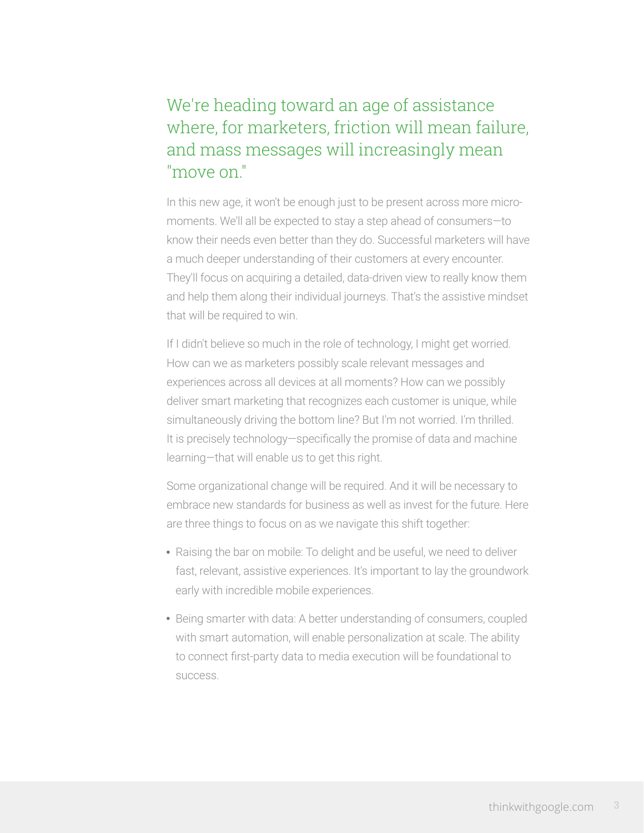## We're heading toward an age of assistance where, for marketers, friction will mean failure, and mass messages will increasingly mean "move on."

In this new age, it won't be enough just to be present across more micromoments. We'll all be expected to stay a step ahead of consumers—to know their needs even better than they do. Successful marketers will have a much deeper understanding of their customers at every encounter. They'll focus on acquiring a detailed, data-driven view to really know them and help them along their individual journeys. That's the assistive mindset that will be required to win.

If I didn't believe so much in the role of technology, I might get worried. How can we as marketers possibly scale relevant messages and experiences across all devices at all moments? How can we possibly deliver smart marketing that recognizes each customer is unique, while simultaneously driving the bottom line? But I'm not worried. I'm thrilled. It is precisely technology—specifically the promise of data and machine learning—that will enable us to get this right.

Some organizational change will be required. And it will be necessary to embrace new standards for business as well as invest for the future. Here are three things to focus on as we navigate this shift together:

- Raising the bar on mobile: To delight and be useful, we need to deliver fast, relevant, assistive experiences. It's important to lay the groundwork early with incredible mobile experiences.
- Being smarter with data: A better understanding of consumers, coupled with smart automation, will enable personalization at scale. The ability to connect first-party data to media execution will be foundational to success.